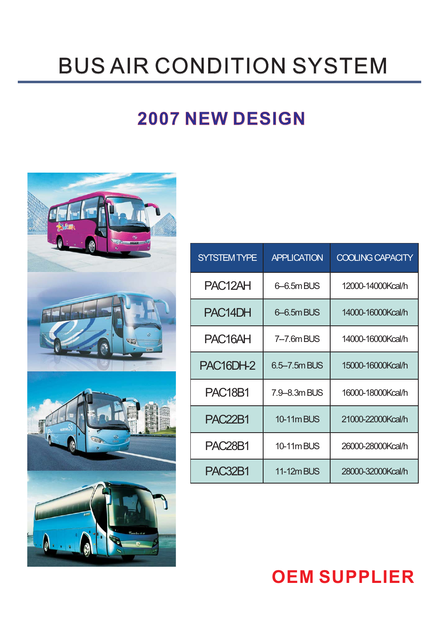# **BUS AIR CONDITION SYSTEM**

# **2007 NEW DESIGN 2007 NEW**



| <b>SYTSTEM TYPE</b>               | <b>APPLICATION</b> | <b>COOLING CAPACITY</b> |
|-----------------------------------|--------------------|-------------------------|
| PAC <sub>12</sub> AH              | 6-6.5m BUS         | 12000-14000Kcal/h       |
| PAC <sub>14</sub> DH              | 6-6.5m BUS         | 14000-16000Kcal/h       |
| PAC <sub>16</sub> AH              | 7-7.6m BUS         | 14000-16000Kcal/h       |
| PAC <sub>16</sub> DH <sub>2</sub> | 6.5-7.5m BUS       | 15000-16000Kcal/h       |
| <b>PAC18B1</b>                    | 7.9-8.3m BUS       | 16000-18000Kcal/h       |
| <b>PAC22B1</b>                    | <b>10-11m BUS</b>  | 21000-22000Kcal/h       |
| <b>PAC28B1</b>                    | 10-11m BUS         | 26000-28000Kcal/h       |
| <b>PAC32B1</b>                    | <b>11-12m BUS</b>  | 28000-32000Kcal/h       |

# **OEM SUPPLIER**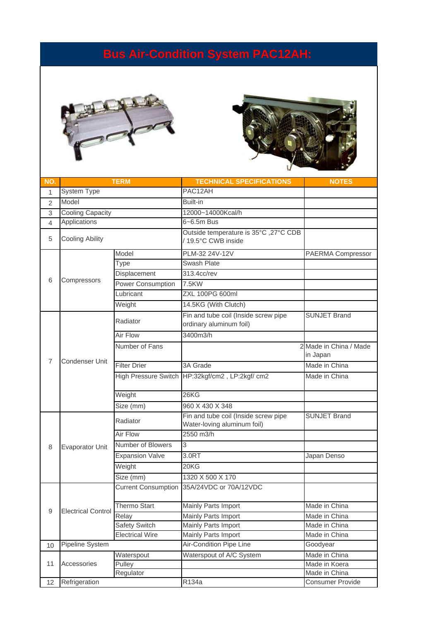### **Bus Air-Condition System PAC12AH:**





| NO.            |                           | <b>TERM</b>                | <b>TECHNICAL SPECIFICATIONS</b>                                     | <b>NOTES</b>                       |
|----------------|---------------------------|----------------------------|---------------------------------------------------------------------|------------------------------------|
| 1              | System Type               |                            | PAC12AH                                                             |                                    |
| $\overline{2}$ | Model                     |                            | Built-in                                                            |                                    |
| 3              | <b>Cooling Capacity</b>   |                            | 12000~14000Kcal/h                                                   |                                    |
| 4              | Applications              |                            | 6~6.5m Bus                                                          |                                    |
| 5              | <b>Cooling Ability</b>    |                            | Outside temperature is 35°C, 27°C CDB<br>/19.5°C CWB inside         |                                    |
|                |                           | Model                      | PLM-32 24V-12V                                                      | PAERMA Compressor                  |
|                |                           | Type                       | Swash Plate                                                         |                                    |
|                |                           | Displacement               | 313.4cc/rev                                                         |                                    |
| 6              | Compressors               | <b>Power Consumption</b>   | 7.5KW                                                               |                                    |
|                |                           | Lubricant                  | ZXL 100PG 600ml                                                     |                                    |
|                |                           | Weight                     | 14.5KG (With Clutch)                                                |                                    |
|                |                           | Radiator                   | Fin and tube coil (Inside screw pipe<br>ordinary aluminum foil)     | <b>SUNJET Brand</b>                |
|                |                           | Air Flow                   | 3400m3/h                                                            |                                    |
|                |                           | Number of Fans             |                                                                     | 2 Made in China / Made<br>in Japan |
| 7              | Condenser Unit            | <b>Filter Drier</b>        | 3A Grade                                                            | Made in China                      |
|                |                           |                            | High Pressure Switch HP:32kgf/cm2, LP:2kgf/ cm2                     | Made in China                      |
|                |                           | Weight                     | 26 <sub>K</sub>                                                     |                                    |
|                |                           | Size (mm)                  | 960 X 430 X 348                                                     |                                    |
|                | Evaporator Unit           | Radiator                   | Fin and tube coil (Inside screw pipe<br>Water-loving aluminum foil) | <b>SUNJET Brand</b>                |
|                |                           | Air Flow                   | 2550 m3/h                                                           |                                    |
| 8              |                           | Number of Blowers          | 3                                                                   |                                    |
|                |                           | <b>Expansion Valve</b>     | 3.0RT                                                               | Japan Denso                        |
|                |                           | Weight                     | 20KG                                                                |                                    |
|                |                           | Size (mm)                  | 1320 X 500 X 170                                                    |                                    |
|                |                           | <b>Current Consumption</b> | 35A/24VDC or 70A/12VDC                                              |                                    |
| 9              |                           | Thermo Start               | Mainly Parts Import                                                 | Made in China                      |
|                | <b>Electrical Control</b> | Relay                      | Mainly Parts Import                                                 | Made in China                      |
|                |                           | <b>Safety Switch</b>       | Mainly Parts Import                                                 | Made in China                      |
|                |                           | <b>Electrical Wire</b>     | Mainly Parts Import                                                 | Made in China                      |
| 10             | Pipeline System           |                            | Air-Condition Pipe Line                                             | Goodyear                           |
|                |                           | Waterspout                 | Waterspout of A/C System                                            | Made in China                      |
| 11             | Accessories               | Pulley                     |                                                                     | Made in Koera                      |
|                |                           | Regulator                  |                                                                     | Made in China                      |
| 12             | Refrigeration             |                            | R134a                                                               | Consumer Provide                   |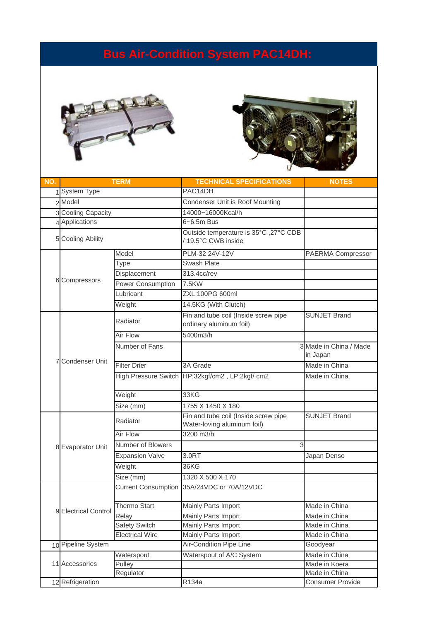#### **Bus Air-Condition System PAC14DH:**





| NO. |                        | <b>TERM</b>                | <b>TECHNICAL SPECIFICATIONS</b>                                     | <b>NOTES</b>                       |
|-----|------------------------|----------------------------|---------------------------------------------------------------------|------------------------------------|
|     | 1 System Type          |                            | PAC14DH                                                             |                                    |
|     | 2 Model                |                            | Condenser Unit is Roof Mounting                                     |                                    |
|     | 3 Cooling Capacity     |                            | 14000~16000Kcal/h                                                   |                                    |
|     | 4 Applications         |                            | 6~6.5m Bus                                                          |                                    |
|     | 5 Cooling Ability      |                            | Outside temperature is 35°C, 27°C CDB<br>/19.5°C CWB inside         |                                    |
|     |                        | Model                      | PLM-32 24V-12V                                                      | PAERMA Compressor                  |
|     |                        | Type                       | Swash Plate                                                         |                                    |
|     |                        | Displacement               | 313.4cc/rev                                                         |                                    |
|     | 6 Compressors          | <b>Power Consumption</b>   | 7.5KW                                                               |                                    |
|     |                        | Lubricant                  | <b>ZXL 100PG 600ml</b>                                              |                                    |
|     |                        | Weight                     | 14.5KG (With Clutch)                                                |                                    |
|     |                        | Radiator                   | Fin and tube coil (Inside screw pipe<br>ordinary aluminum foil)     | <b>SUNJET Brand</b>                |
|     |                        | Air Flow                   | 5400m3/h                                                            |                                    |
|     |                        | Number of Fans             |                                                                     | 3 Made in China / Made<br>in Japan |
|     | Condenser Unit         | <b>Filter Drier</b>        | 3A Grade                                                            | Made in China                      |
|     |                        |                            | High Pressure Switch HP:32kgf/cm2, LP:2kgf/ cm2                     | Made in China                      |
|     |                        | Weight                     | 33KG                                                                |                                    |
|     |                        | Size (mm)                  | 1755 X 1450 X 180                                                   |                                    |
|     | <b>Evaporator Unit</b> | Radiator                   | Fin and tube coil (Inside screw pipe<br>Water-loving aluminum foil) | <b>SUNJET Brand</b>                |
|     |                        | <b>Air Flow</b>            | 3200 m3/h                                                           |                                    |
| 8   |                        | Number of Blowers          | 3                                                                   |                                    |
|     |                        | <b>Expansion Valve</b>     | 3.0RT                                                               | Japan Denso                        |
|     |                        | Weight                     | 36KG                                                                |                                    |
|     |                        | Size (mm)                  | 1320 X 500 X 170                                                    |                                    |
|     |                        | <b>Current Consumption</b> | 35A/24VDC or 70A/12VDC                                              |                                    |
|     |                        | Thermo Start               | Mainly Parts Import                                                 | Made in China                      |
|     | 9 Electrical Control   | Relay                      | Mainly Parts Import                                                 | Made in China                      |
|     |                        | Safety Switch              | Mainly Parts Import                                                 | Made in China                      |
|     |                        | <b>Electrical Wire</b>     | Mainly Parts Import                                                 | Made in China                      |
|     | 10 Pipeline System     |                            | Air-Condition Pipe Line                                             | Goodyear                           |
|     |                        | Waterspout                 | Waterspout of A/C System                                            | Made in China                      |
|     | 11 Accessories         | Pulley                     |                                                                     | Made in Koera                      |
|     |                        | Regulator                  |                                                                     | Made in China                      |
|     | 12 Refrigeration       |                            | R134a                                                               | Consumer Provide                   |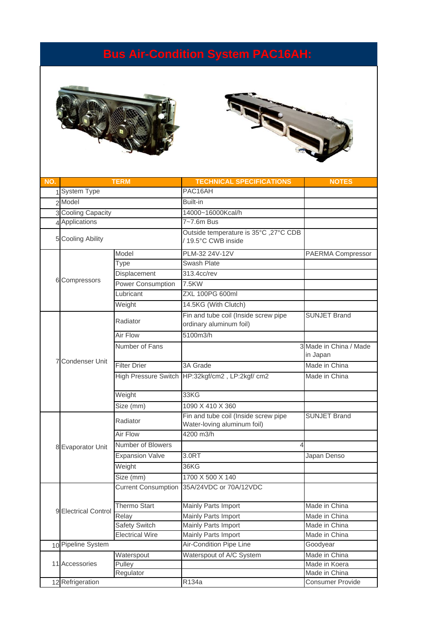#### **Bus Air-Condition System PAC16AH:**





| NO. |                      | <b>TERM</b>                | <b>TECHNICAL SPECIFICATIONS</b>                                     | <b>NOTES</b>                       |
|-----|----------------------|----------------------------|---------------------------------------------------------------------|------------------------------------|
|     | 1 System Type        |                            | PAC16AH                                                             |                                    |
|     | 2 Model              |                            | Built-in                                                            |                                    |
|     | 3 Cooling Capacity   |                            | 14000~16000Kcal/h                                                   |                                    |
|     | 4 Applications       |                            | 7~7.6m Bus                                                          |                                    |
|     | 5 Cooling Ability    |                            | Outside temperature is 35°C, 27°C CDB<br>/19.5°C CWB inside         |                                    |
|     |                      | Model                      | PLM-32 24V-12V                                                      | PAERMA Compressor                  |
|     |                      | Type                       | <b>Swash Plate</b>                                                  |                                    |
|     |                      | Displacement               | 313.4cc/rev                                                         |                                    |
| 6   | Compressors          | Power Consumption          | 7.5KW                                                               |                                    |
|     |                      | Lubricant                  | <b>ZXL 100PG 600ml</b>                                              |                                    |
|     |                      | Weight                     | 14.5KG (With Clutch)                                                |                                    |
|     |                      | Radiator                   | Fin and tube coil (Inside screw pipe<br>ordinary aluminum foil)     | <b>SUNJET Brand</b>                |
|     |                      | Air Flow                   | 5100m3/h                                                            |                                    |
|     |                      | Number of Fans             |                                                                     | 3 Made in China / Made<br>in Japan |
|     | Condenser Unit       | <b>Filter Drier</b>        | 3A Grade                                                            | Made in China                      |
|     |                      |                            | High Pressure Switch HP:32kgf/cm2, LP:2kgf/ cm2                     | Made in China                      |
|     |                      | Weight                     | 33KG                                                                |                                    |
|     |                      | Size (mm)                  | 1090 X 410 X 360                                                    |                                    |
|     | 8 Evaporator Unit    | Radiator                   | Fin and tube coil (Inside screw pipe<br>Water-loving aluminum foil) | <b>SUNJET Brand</b>                |
|     |                      | Air Flow                   | 4200 m3/h                                                           |                                    |
|     |                      | Number of Blowers          |                                                                     |                                    |
|     |                      | <b>Expansion Valve</b>     | 3.0RT                                                               | Japan Denso                        |
|     |                      | Weight                     | 36KG                                                                |                                    |
|     |                      | Size (mm)                  | 1700 X 500 X 140                                                    |                                    |
|     |                      | <b>Current Consumption</b> | 35A/24VDC or 70A/12VDC                                              |                                    |
|     |                      | Thermo Start               | Mainly Parts Import                                                 | Made in China                      |
|     | 9 Electrical Control | Relay                      | Mainly Parts Import                                                 | Made in China                      |
|     |                      | <b>Safety Switch</b>       | Mainly Parts Import                                                 | Made in China                      |
|     |                      | <b>Electrical Wire</b>     | Mainly Parts Import                                                 | Made in China                      |
|     | 10 Pipeline System   |                            | Air-Condition Pipe Line                                             | Goodyear                           |
|     |                      | Waterspout                 | Waterspout of A/C System                                            | Made in China                      |
|     | 11 Accessories       | Pulley                     |                                                                     | Made in Koera                      |
|     | Regulator            |                            |                                                                     | Made in China                      |
|     | 12 Refrigeration     |                            | R134a                                                               | Consumer Provide                   |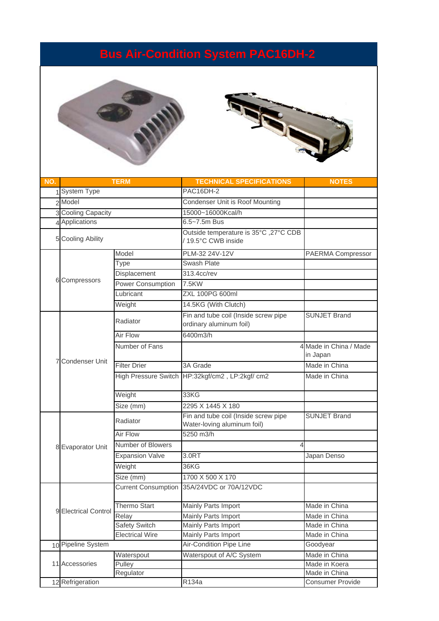#### **Bus Air-Condition System PAC16DH-2**





| NO. |                        | <b>TERM</b>                | <b>TECHNICAL SPECIFICATIONS</b>                                     | <b>NOTES</b>                       |
|-----|------------------------|----------------------------|---------------------------------------------------------------------|------------------------------------|
|     | 1 System Type          |                            | PAC16DH-2                                                           |                                    |
|     | 2 Model                |                            | Condenser Unit is Roof Mounting                                     |                                    |
|     | 3 Cooling Capacity     |                            | 15000~16000Kcal/h                                                   |                                    |
|     | 4 Applications         |                            | 6.5~7.5m Bus                                                        |                                    |
|     | 5 Cooling Ability      |                            | Outside temperature is 35°C, 27°C CDB<br>/19.5°C CWB inside         |                                    |
|     |                        | Model                      | PLM-32 24V-12V                                                      | PAERMA Compressor                  |
|     |                        | Type                       | Swash Plate                                                         |                                    |
|     |                        | Displacement               | 313.4cc/rev                                                         |                                    |
|     | 6 Compressors          | <b>Power Consumption</b>   | 7.5KW                                                               |                                    |
|     |                        | Lubricant                  | <b>ZXL 100PG 600ml</b>                                              |                                    |
|     |                        | Weight                     | 14.5KG (With Clutch)                                                |                                    |
|     |                        | Radiator                   | Fin and tube coil (Inside screw pipe<br>ordinary aluminum foil)     | <b>SUNJET Brand</b>                |
|     |                        | Air Flow                   | 6400m3/h                                                            |                                    |
|     | Condenser Unit         | Number of Fans             |                                                                     | 4 Made in China / Made<br>in Japan |
|     |                        | <b>Filter Drier</b>        | 3A Grade                                                            | Made in China                      |
|     |                        |                            | High Pressure Switch HP:32kgf/cm2, LP:2kgf/ cm2                     | Made in China                      |
|     |                        | Weight                     | 33KG                                                                |                                    |
|     |                        | Size (mm)                  | 2295 X 1445 X 180                                                   |                                    |
|     | <b>Evaporator Unit</b> | Radiator                   | Fin and tube coil (Inside screw pipe<br>Water-loving aluminum foil) | <b>SUNJET Brand</b>                |
|     |                        | <b>Air Flow</b>            | 5250 m3/h                                                           |                                    |
| 8   |                        | Number of Blowers          |                                                                     |                                    |
|     |                        | <b>Expansion Valve</b>     | 3.0RT                                                               | Japan Denso                        |
|     |                        | Weight                     | 36KG                                                                |                                    |
|     |                        | Size (mm)                  | 1700 X 500 X 170                                                    |                                    |
|     |                        | <b>Current Consumption</b> | 35A/24VDC or 70A/12VDC                                              |                                    |
|     |                        | Thermo Start               | Mainly Parts Import                                                 | Made in China                      |
|     | 9 Electrical Control   | Relay                      | Mainly Parts Import                                                 | Made in China                      |
|     |                        | Safety Switch              | Mainly Parts Import                                                 | Made in China                      |
|     |                        | <b>Electrical Wire</b>     | Mainly Parts Import                                                 | Made in China                      |
|     | 10 Pipeline System     |                            | Air-Condition Pipe Line                                             | Goodyear                           |
|     |                        | Waterspout                 | Waterspout of A/C System                                            | Made in China                      |
|     | 11 Accessories         | Pulley                     |                                                                     | Made in Koera                      |
|     | Regulator              |                            |                                                                     | Made in China                      |
|     | 12 Refrigeration       |                            | R134a                                                               | Consumer Provide                   |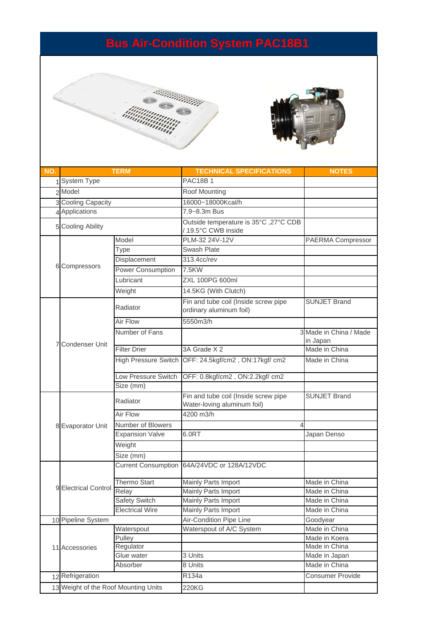### **Bus Air-Condition System PAC18B1**





| NO. |                                      | <b>TERM</b>            | <b>TECHNICAL SPECIFICATIONS</b>                                     | <b>NOTES</b>                       |
|-----|--------------------------------------|------------------------|---------------------------------------------------------------------|------------------------------------|
|     | 1 System Type                        |                        | <b>PAC18B1</b>                                                      |                                    |
|     | 2 Model                              |                        |                                                                     |                                    |
|     |                                      |                        | Roof Mounting                                                       |                                    |
|     | 3 Cooling Capacity                   |                        | 16000~18000Kcal/h                                                   |                                    |
|     | 4 Applications                       |                        | 7.9~8.3m Bus                                                        |                                    |
|     | 5 Cooling Ability                    |                        | Outside temperature is 35°C, 27°C CDB<br>/19.5°C CWB inside         |                                    |
|     |                                      | Model                  | PLM-32 24V-12V                                                      | PAERMA Compressor                  |
|     |                                      | Type                   | Swash Plate                                                         |                                    |
|     |                                      | Displacement           | 313.4cc/rev                                                         |                                    |
|     | 6 Compressors                        | Power Consumption      | 7.5KW                                                               |                                    |
|     |                                      | Lubricant              | <b>ZXL 100PG 600ml</b>                                              |                                    |
|     |                                      | Weight                 | 14.5KG (With Clutch)                                                |                                    |
|     |                                      | Radiator               | Fin and tube coil (Inside screw pipe<br>ordinary aluminum foil)     | <b>SUNJET Brand</b>                |
|     |                                      | <b>Air Flow</b>        | 5550m3/h                                                            |                                    |
|     |                                      | Number of Fans         |                                                                     | 3 Made in China / Made<br>in Japan |
|     | <b>Condenser Unit</b>                | <b>Filter Drier</b>    | 3A Grade X 2                                                        | Made in China                      |
|     |                                      |                        | High Pressure Switch OFF: 24.5kgf/cm2, ON:17kgf/ cm2                | Made in China                      |
|     |                                      | Low Pressure Switch    | OFF: 0.8kgf/cm2, ON:2.2kgf/ cm2                                     |                                    |
|     |                                      | Size (mm)              |                                                                     |                                    |
|     | 8 Evaporator Unit                    | Radiator               | Fin and tube coil (Inside screw pipe<br>Water-loving aluminum foil) | <b>SUNJET Brand</b>                |
|     |                                      | Air Flow               | 4200 m3/h                                                           |                                    |
|     |                                      | Number of Blowers      |                                                                     |                                    |
|     |                                      | <b>Expansion Valve</b> | 6.0RT                                                               | Japan Denso                        |
|     |                                      | Weight                 |                                                                     |                                    |
|     |                                      | Size (mm)              |                                                                     |                                    |
|     |                                      |                        | Current Consumption 64A/24VDC or 128A/12VDC                         |                                    |
|     |                                      | <b>Thermo Start</b>    | Mainly Parts Import                                                 | Made in China                      |
|     | 9 Electrical Control Relay           |                        | Mainly Parts Import                                                 | Made in China                      |
|     |                                      | Safety Switch          | Mainly Parts Import                                                 | Made in China                      |
|     | <b>Electrical Wire</b>               |                        | Mainly Parts Import                                                 | Made in China                      |
|     | 10 Pipeline System                   |                        | Air-Condition Pipe Line                                             | Goodyear                           |
|     |                                      | Waterspout             | Waterspout of A/C System                                            | Made in China                      |
|     |                                      | Pulley                 |                                                                     | Made in Koera                      |
|     | 11 Accessories                       | Regulator              |                                                                     | Made in China                      |
|     |                                      | Glue water             | 3 Units                                                             | Made in Japan                      |
|     |                                      | Absorber               | 8 Units                                                             | Made in China                      |
|     | 12 Refrigeration                     |                        | R134a                                                               | <b>Consumer Provide</b>            |
|     | 13 Weight of the Roof Mounting Units |                        | 220KG                                                               |                                    |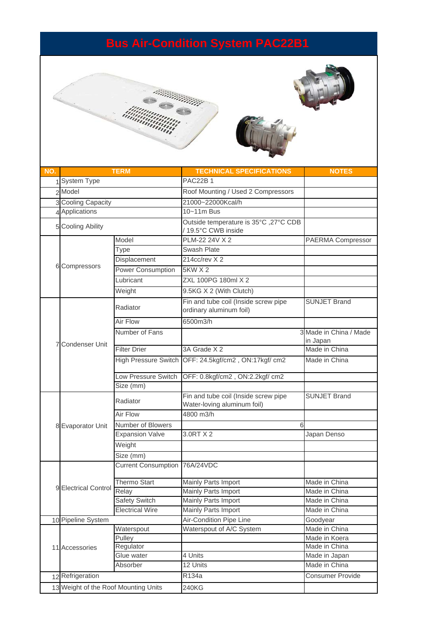### **Bus Air-Condition System PAC22B1**



| NO. |                                      | <b>TERM</b>                   | <b>TECHNICAL SPECIFICATIONS</b>                                     | <b>NOTES</b>                       |
|-----|--------------------------------------|-------------------------------|---------------------------------------------------------------------|------------------------------------|
|     | 1 System Type                        |                               | <b>PAC22B1</b>                                                      |                                    |
|     | 2 Model                              |                               | Roof Mounting / Used 2 Compressors                                  |                                    |
|     | 3 Cooling Capacity                   |                               | 21000~22000Kcal/h                                                   |                                    |
|     | 4 Applications                       |                               | 10~11m Bus                                                          |                                    |
|     | 5 Cooling Ability                    |                               | Outside temperature is 35°C ,27°C CDB<br>/19.5°C CWB inside         |                                    |
|     |                                      | Model                         | PLM-22 24V X 2                                                      | PAERMA Compressor                  |
|     |                                      | Type                          | <b>Swash Plate</b>                                                  |                                    |
|     |                                      | Displacement                  | 214cc/rev X 2                                                       |                                    |
|     | 6 Compressors                        | Power Consumption             | <b>5KW X 2</b>                                                      |                                    |
|     |                                      | Lubricant                     | <b>ZXL 100PG 180ml X 2</b>                                          |                                    |
|     |                                      | Weight                        | 9.5KG X 2 (With Clutch)                                             |                                    |
|     |                                      | Radiator                      | Fin and tube coil (Inside screw pipe<br>ordinary aluminum foil)     | <b>SUNJET Brand</b>                |
|     |                                      | Air Flow                      | 6500m3/h                                                            |                                    |
|     | <b>Condenser Unit</b>                | Number of Fans                |                                                                     | 3 Made in China / Made<br>in Japan |
|     |                                      | <b>Filter Drier</b>           | 3A Grade X 2                                                        | Made in China                      |
|     |                                      | <b>High Pressure Switch</b>   | OFF: 24.5kgf/cm2, ON:17kgf/ cm2                                     | Made in China                      |
|     |                                      | Low Pressure Switch           | OFF: 0.8kgf/cm2, ON:2.2kgf/ cm2                                     |                                    |
|     |                                      | Size (mm)                     |                                                                     |                                    |
|     | 8 Evaporator Unit                    | Radiator                      | Fin and tube coil (Inside screw pipe<br>Water-loving aluminum foil) | <b>SUNJET Brand</b>                |
|     |                                      | Air Flow                      | 4800 m3/h                                                           |                                    |
|     |                                      | Number of Blowers             | 6                                                                   |                                    |
|     |                                      | <b>Expansion Valve</b>        | 3.0RT X 2                                                           | Japan Denso                        |
|     |                                      | Weight                        |                                                                     |                                    |
|     |                                      | Size (mm)                     |                                                                     |                                    |
|     |                                      | Current Consumption 76A/24VDC |                                                                     |                                    |
|     |                                      | <b>Thermo Start</b>           | Mainly Parts Import                                                 | Made in China                      |
|     | 9 Electrical Control                 | Relay                         | Mainly Parts Import                                                 | Made in China                      |
|     |                                      | Safety Switch                 | Mainly Parts Import                                                 | Made in China                      |
|     | <b>Electrical Wire</b>               |                               | Mainly Parts Import                                                 | Made in China                      |
|     | 10 Pipeline System                   |                               | Air-Condition Pipe Line                                             | Goodyear                           |
|     |                                      | Waterspout                    | Waterspout of A/C System                                            | Made in China                      |
|     |                                      | Pulley                        |                                                                     | Made in Koera                      |
|     | 11 Accessories                       | Regulator                     |                                                                     | Made in China                      |
|     |                                      | Glue water                    | 4 Units                                                             | Made in Japan                      |
|     |                                      | Absorber                      | 12 Units                                                            | Made in China                      |
|     | 12 Refrigeration                     |                               | R134a                                                               | <b>Consumer Provide</b>            |
|     | 13 Weight of the Roof Mounting Units |                               | 240KG                                                               |                                    |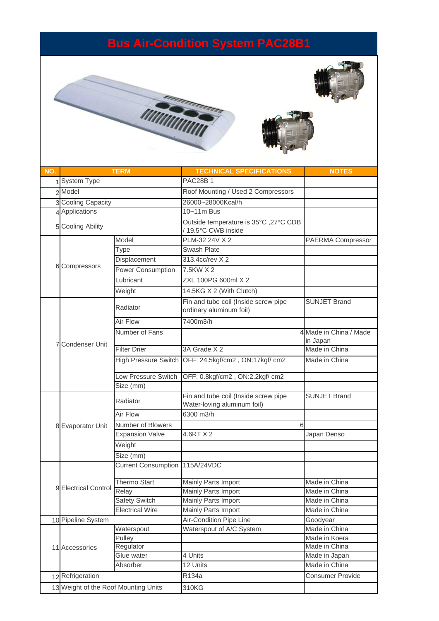## **Bus Air-Condition System PAC28B1**







| NO. |                                      | <b>TERM</b>                      | <b>TECHNICAL SPECIFICATIONS</b>                                     | <b>NOTES</b>                       |
|-----|--------------------------------------|----------------------------------|---------------------------------------------------------------------|------------------------------------|
|     | System Type                          |                                  | <b>PAC28B1</b>                                                      |                                    |
|     | 2 Model                              |                                  | Roof Mounting / Used 2 Compressors                                  |                                    |
|     | 3 Cooling Capacity                   |                                  | 26000~28000Kcal/h                                                   |                                    |
|     | 4 Applications                       |                                  | 10~11m Bus                                                          |                                    |
|     | 5 Cooling Ability                    |                                  | Outside temperature is 35°C, 27°C CDB<br>/19.5°C CWB inside         |                                    |
|     |                                      | Model                            | PLM-32 24V X 2                                                      | PAERMA Compressor                  |
|     |                                      | Type                             | Swash Plate                                                         |                                    |
|     |                                      | Displacement                     | 313.4cc/rev X 2                                                     |                                    |
|     | 6 Compressors                        | Power Consumption                | 7.5KW X 2                                                           |                                    |
|     |                                      | Lubricant                        | <b>ZXL 100PG 600ml X 2</b>                                          |                                    |
|     |                                      | Weight                           | 14.5KG X 2 (With Clutch)                                            |                                    |
|     |                                      | Radiator                         | Fin and tube coil (Inside screw pipe<br>ordinary aluminum foil)     | <b>SUNJET Brand</b>                |
|     |                                      | Air Flow                         | 7400m3/h                                                            |                                    |
|     |                                      | Number of Fans                   |                                                                     | 4 Made in China / Made<br>in Japan |
|     | <b>Condenser Unit</b>                | <b>Filter Drier</b>              | 3A Grade X 2                                                        | Made in China                      |
|     |                                      | <b>High Pressure Switch</b>      | OFF: 24.5kgf/cm2, ON:17kgf/ cm2                                     | Made in China                      |
|     |                                      | Low Pressure Switch<br>Size (mm) | OFF: 0.8kgf/cm2, ON:2.2kgf/ cm2                                     |                                    |
|     | 8 Evaporator Unit                    | Radiator                         | Fin and tube coil (Inside screw pipe<br>Water-loving aluminum foil) | <b>SUNJET Brand</b>                |
|     |                                      | Air Flow                         | 6300 m3/h                                                           |                                    |
|     |                                      | Number of Blowers                | 6                                                                   |                                    |
|     |                                      | <b>Expansion Valve</b>           | 4.6RT X 2                                                           | Japan Denso                        |
|     |                                      | Weight                           |                                                                     |                                    |
|     |                                      | Size (mm)                        |                                                                     |                                    |
|     |                                      | <b>Current Consumption</b>       | 115A/24VDC                                                          |                                    |
|     |                                      | <b>Thermo Start</b>              | Mainly Parts Import                                                 | Made in China                      |
|     | 9 Electrical Control                 | Relay                            | Mainly Parts Import                                                 | Made in China                      |
|     |                                      | Safety Switch                    | Mainly Parts Import                                                 | Made in China                      |
|     | <b>Electrical Wire</b>               |                                  | Mainly Parts Import                                                 | Made in China                      |
|     | 10 Pipeline System                   |                                  | Air-Condition Pipe Line                                             | Goodyear                           |
|     |                                      | Waterspout                       | Waterspout of A/C System                                            | Made in China                      |
|     |                                      | Pulley                           |                                                                     | Made in Koera                      |
|     | 11 Accessories                       | Regulator                        |                                                                     | Made in China                      |
|     |                                      | Glue water                       | 4 Units                                                             | Made in Japan                      |
|     | Absorber                             |                                  | 12 Units                                                            | Made in China                      |
|     | 12 Refrigeration                     |                                  | R134a                                                               | <b>Consumer Provide</b>            |
|     | 13 Weight of the Roof Mounting Units |                                  | 310KG                                                               |                                    |